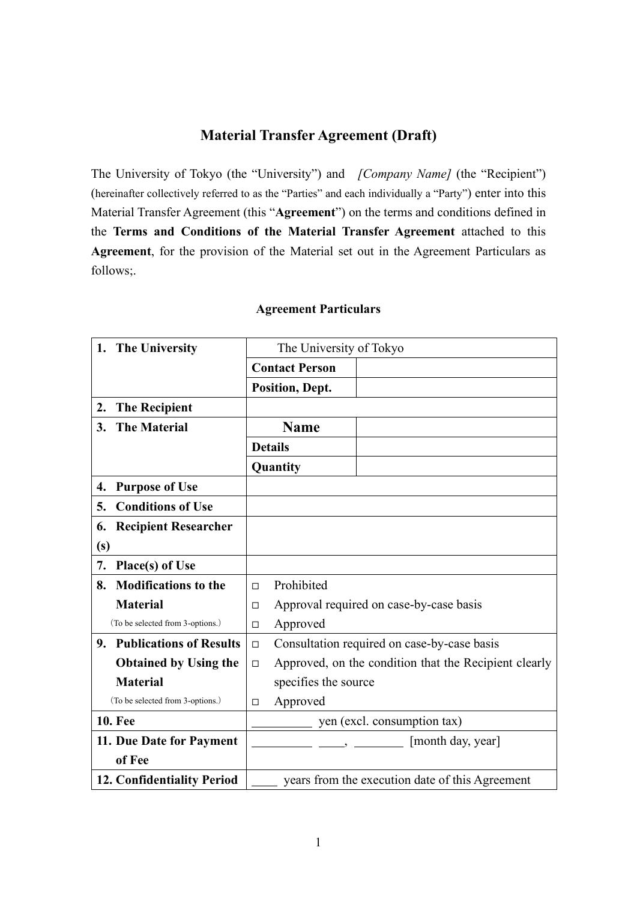# **Material Transfer Agreement (Draft)**

The University of Tokyo (the "University") and *[Company Name]* (the "Recipient") (hereinafter collectively referred to as the "Parties" and each individually a "Party") enter into this Material Transfer Agreement (this "**Agreement**") on the terms and conditions defined in the **Terms and Conditions of the Material Transfer Agreement** attached to this **Agreement**, for the provision of the Material set out in the Agreement Particulars as follows;.

| 1. The University                    | The University of Tokyo                                         |
|--------------------------------------|-----------------------------------------------------------------|
|                                      | <b>Contact Person</b>                                           |
|                                      | Position, Dept.                                                 |
| <b>The Recipient</b><br>2.           |                                                                 |
|                                      |                                                                 |
| <b>The Material</b><br>3.            | <b>Name</b>                                                     |
|                                      | <b>Details</b>                                                  |
|                                      | Quantity                                                        |
| <b>Purpose of Use</b><br>4.          |                                                                 |
| <b>Conditions of Use</b><br>5.       |                                                                 |
| <b>Recipient Researcher</b><br>6.    |                                                                 |
| (s)                                  |                                                                 |
| 7.<br>Place(s) of Use                |                                                                 |
| <b>Modifications to the</b><br>8.    | Prohibited<br>□                                                 |
| <b>Material</b>                      | Approval required on case-by-case basis<br>$\Box$               |
| (To be selected from 3-options.)     | Approved<br>$\Box$                                              |
| <b>Publications of Results</b><br>9. | Consultation required on case-by-case basis<br>$\Box$           |
| <b>Obtained by Using the</b>         | Approved, on the condition that the Recipient clearly<br>$\Box$ |
| <b>Material</b>                      | specifies the source                                            |
| (To be selected from 3-options.)     | Approved<br>$\Box$                                              |
| <b>10. Fee</b>                       | yen (excl. consumption tax)                                     |
| 11. Due Date for Payment             | [month day, year]                                               |
| of Fee                               |                                                                 |
| 12. Confidentiality Period           | years from the execution date of this Agreement                 |

## **Agreement Particulars**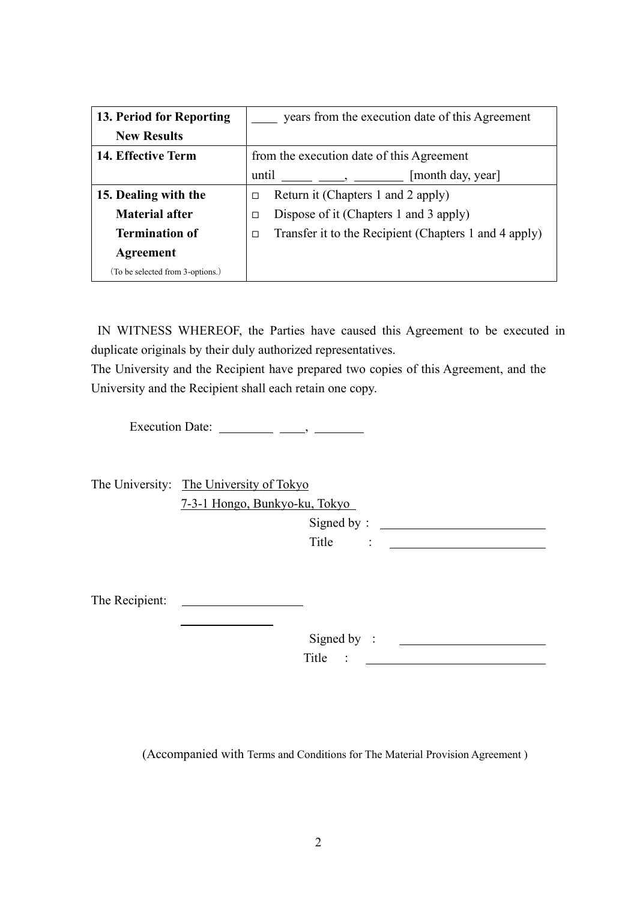| 13. Period for Reporting         | years from the execution date of this Agreement                 |
|----------------------------------|-----------------------------------------------------------------|
| <b>New Results</b>               |                                                                 |
| 14. Effective Term               | from the execution date of this Agreement                       |
|                                  | [month day, year]<br>until                                      |
| 15. Dealing with the             | Return it (Chapters 1 and 2 apply)<br>□                         |
| <b>Material after</b>            | Dispose of it (Chapters 1 and 3 apply)<br>□                     |
| <b>Termination of</b>            | Transfer it to the Recipient (Chapters 1 and 4 apply)<br>$\Box$ |
| Agreement                        |                                                                 |
| (To be selected from 3-options.) |                                                                 |

IN WITNESS WHEREOF, the Parties have caused this Agreement to be executed in duplicate originals by their duly authorized representatives.

The University and the Recipient have prepared two copies of this Agreement, and the University and the Recipient shall each retain one copy.

Execution Date:  $\frac{\qquad \qquad }{\qquad \qquad }$ 

The University: The University of Tokyo 7-3-1 Hongo, Bunkyo-ku, Tokyo

Signed by:

 $\begin{array}{ccc} \n\text{Title} & : & \underline{\qquad} & \underline{\qquad} & \n\end{array}$ 

The Recipient:

 Signed by : Title :

(Accompanied with Terms and Conditions for The Material Provision Agreement )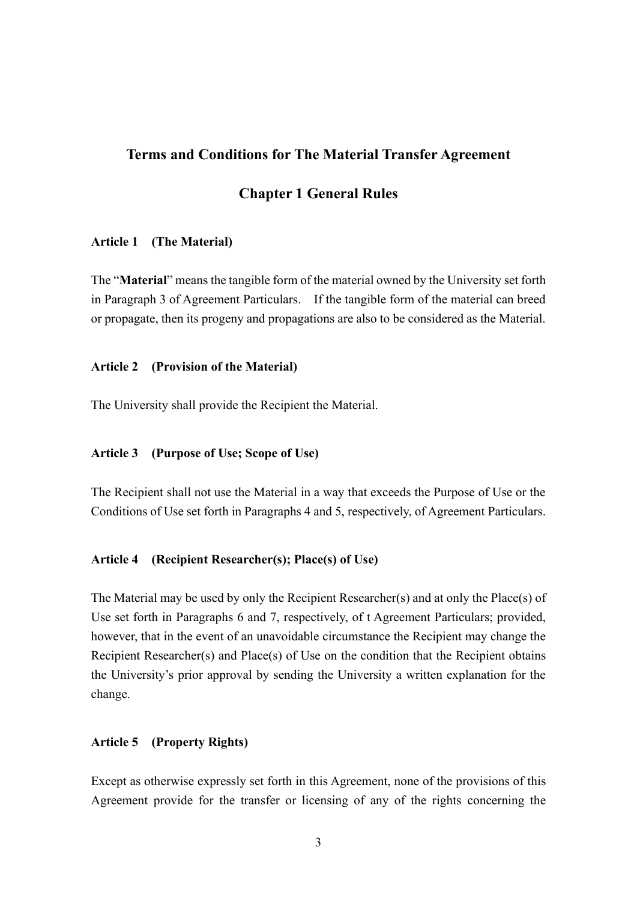## **Terms and Conditions for The Material Transfer Agreement**

## **Chapter 1 General Rules**

#### **Article 1 (The Material)**

The "**Material**" means the tangible form of the material owned by the University set forth in Paragraph 3 of Agreement Particulars. If the tangible form of the material can breed or propagate, then its progeny and propagations are also to be considered as the Material.

#### **Article 2 (Provision of the Material)**

The University shall provide the Recipient the Material.

### **Article 3 (Purpose of Use; Scope of Use)**

The Recipient shall not use the Material in a way that exceeds the Purpose of Use or the Conditions of Use set forth in Paragraphs 4 and 5, respectively, of Agreement Particulars.

#### **Article 4 (Recipient Researcher(s); Place(s) of Use)**

The Material may be used by only the Recipient Researcher(s) and at only the Place(s) of Use set forth in Paragraphs 6 and 7, respectively, of t Agreement Particulars; provided, however, that in the event of an unavoidable circumstance the Recipient may change the Recipient Researcher(s) and Place(s) of Use on the condition that the Recipient obtains the University's prior approval by sending the University a written explanation for the change.

## **Article 5 (Property Rights)**

Except as otherwise expressly set forth in this Agreement, none of the provisions of this Agreement provide for the transfer or licensing of any of the rights concerning the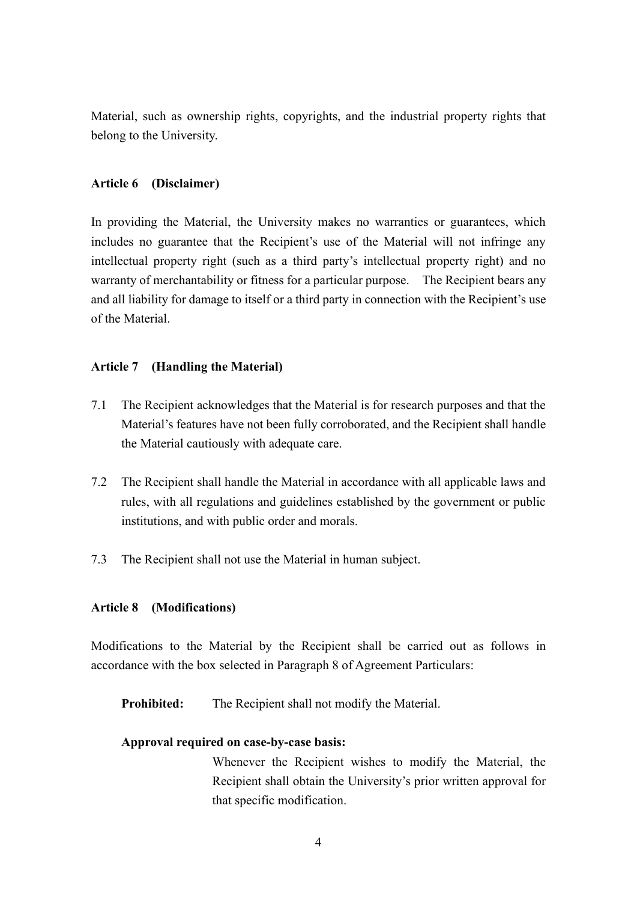Material, such as ownership rights, copyrights, and the industrial property rights that belong to the University.

## **Article 6 (Disclaimer)**

In providing the Material, the University makes no warranties or guarantees, which includes no guarantee that the Recipient's use of the Material will not infringe any intellectual property right (such as a third party's intellectual property right) and no warranty of merchantability or fitness for a particular purpose. The Recipient bears any and all liability for damage to itself or a third party in connection with the Recipient's use of the Material.

## **Article 7 (Handling the Material)**

- 7.1 The Recipient acknowledges that the Material is for research purposes and that the Material's features have not been fully corroborated, and the Recipient shall handle the Material cautiously with adequate care.
- 7.2 The Recipient shall handle the Material in accordance with all applicable laws and rules, with all regulations and guidelines established by the government or public institutions, and with public order and morals.
- 7.3 The Recipient shall not use the Material in human subject.

## **Article 8 (Modifications)**

Modifications to the Material by the Recipient shall be carried out as follows in accordance with the box selected in Paragraph 8 of Agreement Particulars:

**Prohibited:** The Recipient shall not modify the Material.

## **Approval required on case-by-case basis:**

Whenever the Recipient wishes to modify the Material, the Recipient shall obtain the University's prior written approval for that specific modification.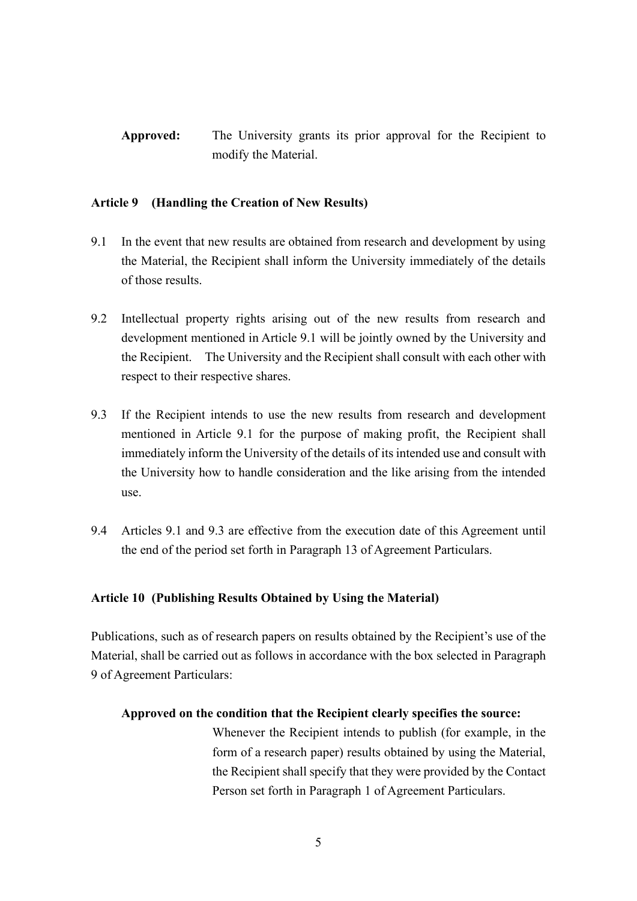**Approved:** The University grants its prior approval for the Recipient to modify the Material.

## **Article 9 (Handling the Creation of New Results)**

- 9.1 In the event that new results are obtained from research and development by using the Material, the Recipient shall inform the University immediately of the details of those results.
- 9.2 Intellectual property rights arising out of the new results from research and development mentioned in Article 9.1 will be jointly owned by the University and the Recipient. The University and the Recipient shall consult with each other with respect to their respective shares.
- 9.3 If the Recipient intends to use the new results from research and development mentioned in Article 9.1 for the purpose of making profit, the Recipient shall immediately inform the University of the details of its intended use and consult with the University how to handle consideration and the like arising from the intended use.
- 9.4 Articles 9.1 and 9.3 are effective from the execution date of this Agreement until the end of the period set forth in Paragraph 13 of Agreement Particulars.

## **Article 10 (Publishing Results Obtained by Using the Material)**

Publications, such as of research papers on results obtained by the Recipient's use of the Material, shall be carried out as follows in accordance with the box selected in Paragraph 9 of Agreement Particulars:

## **Approved on the condition that the Recipient clearly specifies the source:**

Whenever the Recipient intends to publish (for example, in the form of a research paper) results obtained by using the Material, the Recipient shall specify that they were provided by the Contact Person set forth in Paragraph 1 of Agreement Particulars.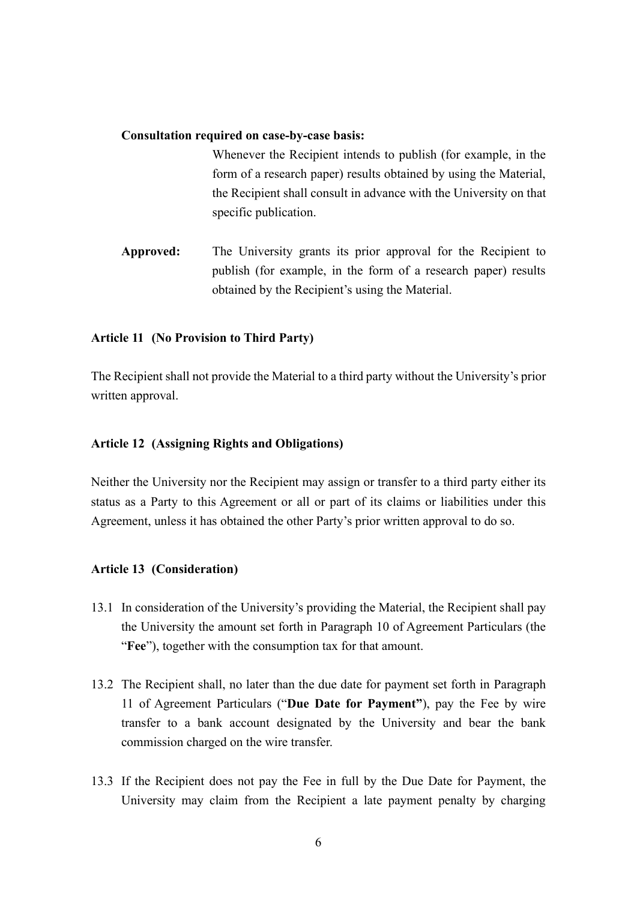#### **Consultation required on case-by-case basis:**

Whenever the Recipient intends to publish (for example, in the form of a research paper) results obtained by using the Material, the Recipient shall consult in advance with the University on that specific publication.

**Approved:** The University grants its prior approval for the Recipient to publish (for example, in the form of a research paper) results obtained by the Recipient's using the Material.

### **Article 11 (No Provision to Third Party)**

The Recipient shall not provide the Material to a third party without the University's prior written approval.

#### **Article 12 (Assigning Rights and Obligations)**

Neither the University nor the Recipient may assign or transfer to a third party either its status as a Party to this Agreement or all or part of its claims or liabilities under this Agreement, unless it has obtained the other Party's prior written approval to do so.

#### **Article 13 (Consideration)**

- 13.1 In consideration of the University's providing the Material, the Recipient shall pay the University the amount set forth in Paragraph 10 of Agreement Particulars (the "**Fee**"), together with the consumption tax for that amount.
- 13.2 The Recipient shall, no later than the due date for payment set forth in Paragraph 11 of Agreement Particulars ("**Due Date for Payment"**), pay the Fee by wire transfer to a bank account designated by the University and bear the bank commission charged on the wire transfer.
- 13.3 If the Recipient does not pay the Fee in full by the Due Date for Payment, the University may claim from the Recipient a late payment penalty by charging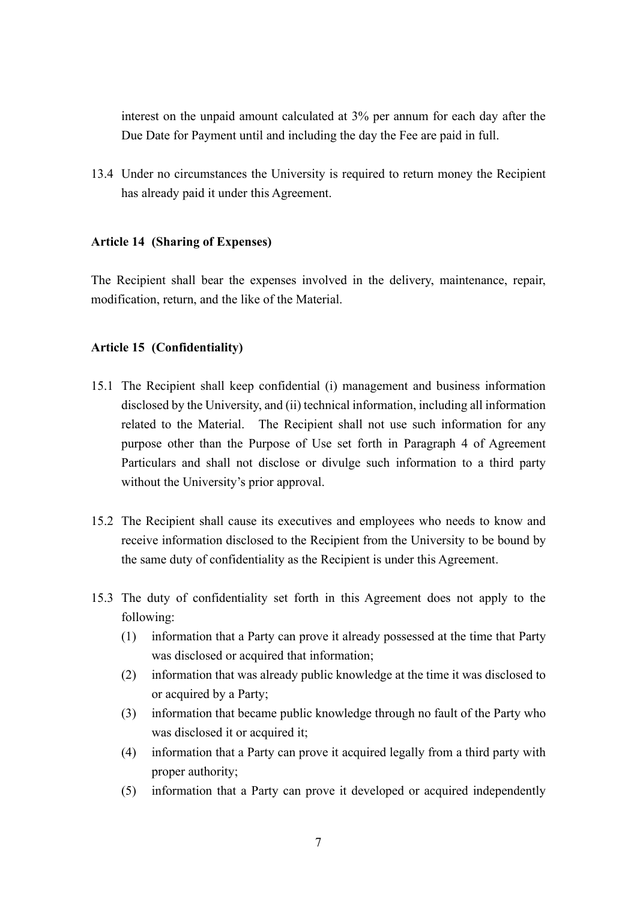interest on the unpaid amount calculated at 3% per annum for each day after the Due Date for Payment until and including the day the Fee are paid in full.

13.4 Under no circumstances the University is required to return money the Recipient has already paid it under this Agreement.

### **Article 14 (Sharing of Expenses)**

The Recipient shall bear the expenses involved in the delivery, maintenance, repair, modification, return, and the like of the Material.

### **Article 15 (Confidentiality)**

- 15.1 The Recipient shall keep confidential (i) management and business information disclosed by the University, and (ii) technical information, including all information related to the Material. The Recipient shall not use such information for any purpose other than the Purpose of Use set forth in Paragraph 4 of Agreement Particulars and shall not disclose or divulge such information to a third party without the University's prior approval.
- 15.2 The Recipient shall cause its executives and employees who needs to know and receive information disclosed to the Recipient from the University to be bound by the same duty of confidentiality as the Recipient is under this Agreement.
- 15.3 The duty of confidentiality set forth in this Agreement does not apply to the following:
	- (1) information that a Party can prove it already possessed at the time that Party was disclosed or acquired that information;
	- (2) information that was already public knowledge at the time it was disclosed to or acquired by a Party;
	- (3) information that became public knowledge through no fault of the Party who was disclosed it or acquired it;
	- (4) information that a Party can prove it acquired legally from a third party with proper authority;
	- (5) information that a Party can prove it developed or acquired independently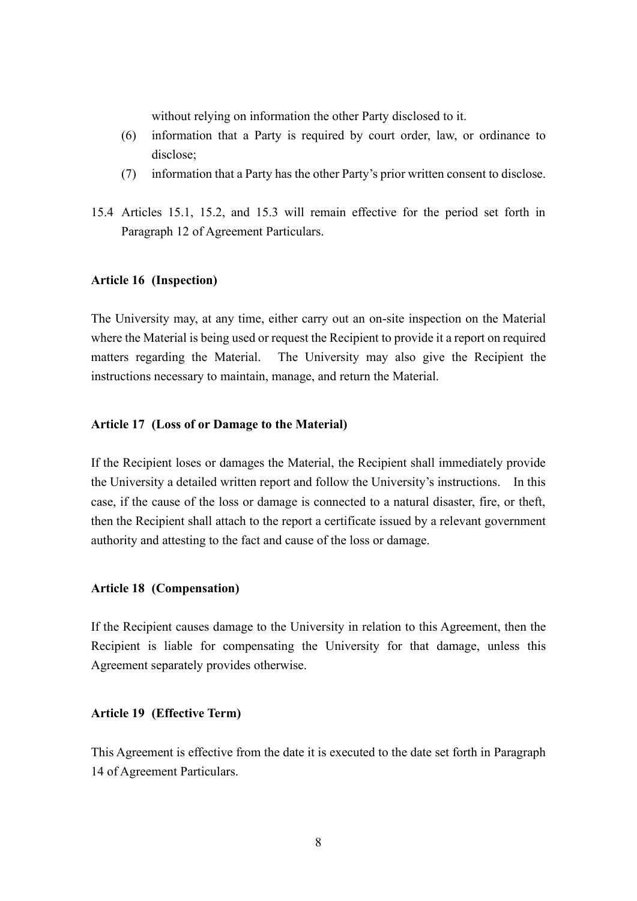without relying on information the other Party disclosed to it.

- (6) information that a Party is required by court order, law, or ordinance to disclose;
- (7) information that a Party has the other Party's prior written consent to disclose.
- 15.4 Articles 15.1, 15.2, and 15.3 will remain effective for the period set forth in Paragraph 12 of Agreement Particulars.

#### **Article 16 (Inspection)**

The University may, at any time, either carry out an on-site inspection on the Material where the Material is being used or request the Recipient to provide it a report on required matters regarding the Material. The University may also give the Recipient the instructions necessary to maintain, manage, and return the Material.

#### **Article 17 (Loss of or Damage to the Material)**

If the Recipient loses or damages the Material, the Recipient shall immediately provide the University a detailed written report and follow the University's instructions. In this case, if the cause of the loss or damage is connected to a natural disaster, fire, or theft, then the Recipient shall attach to the report a certificate issued by a relevant government authority and attesting to the fact and cause of the loss or damage.

#### **Article 18 (Compensation)**

If the Recipient causes damage to the University in relation to this Agreement, then the Recipient is liable for compensating the University for that damage, unless this Agreement separately provides otherwise.

#### **Article 19 (Effective Term)**

This Agreement is effective from the date it is executed to the date set forth in Paragraph 14 of Agreement Particulars.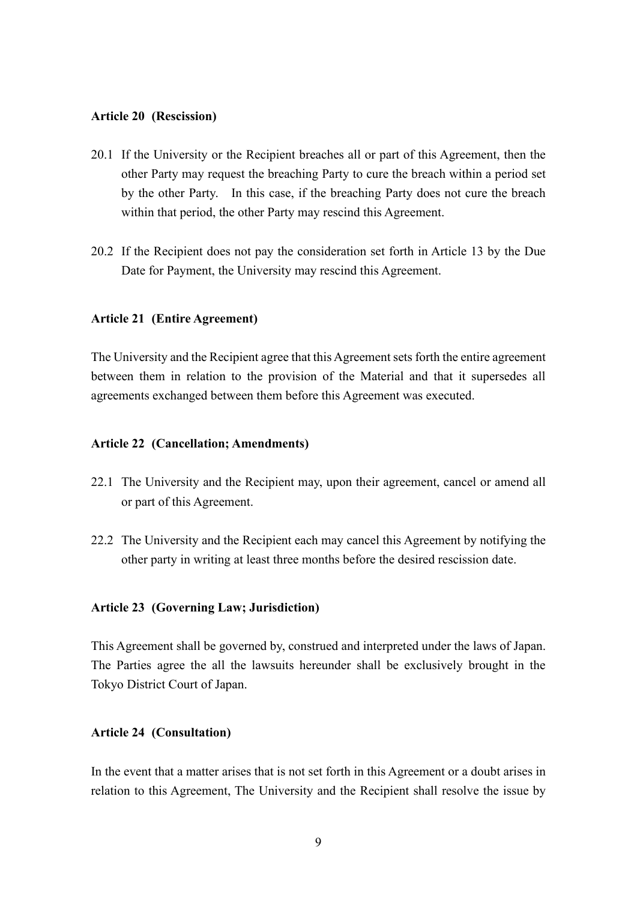#### **Article 20 (Rescission)**

- 20.1 If the University or the Recipient breaches all or part of this Agreement, then the other Party may request the breaching Party to cure the breach within a period set by the other Party. In this case, if the breaching Party does not cure the breach within that period, the other Party may rescind this Agreement.
- 20.2 If the Recipient does not pay the consideration set forth in Article 13 by the Due Date for Payment, the University may rescind this Agreement.

### **Article 21 (Entire Agreement)**

The University and the Recipient agree that this Agreement sets forth the entire agreement between them in relation to the provision of the Material and that it supersedes all agreements exchanged between them before this Agreement was executed.

#### **Article 22 (Cancellation; Amendments)**

- 22.1 The University and the Recipient may, upon their agreement, cancel or amend all or part of this Agreement.
- 22.2 The University and the Recipient each may cancel this Agreement by notifying the other party in writing at least three months before the desired rescission date.

#### **Article 23 (Governing Law; Jurisdiction)**

This Agreement shall be governed by, construed and interpreted under the laws of Japan. The Parties agree the all the lawsuits hereunder shall be exclusively brought in the Tokyo District Court of Japan.

### **Article 24 (Consultation)**

In the event that a matter arises that is not set forth in this Agreement or a doubt arises in relation to this Agreement, The University and the Recipient shall resolve the issue by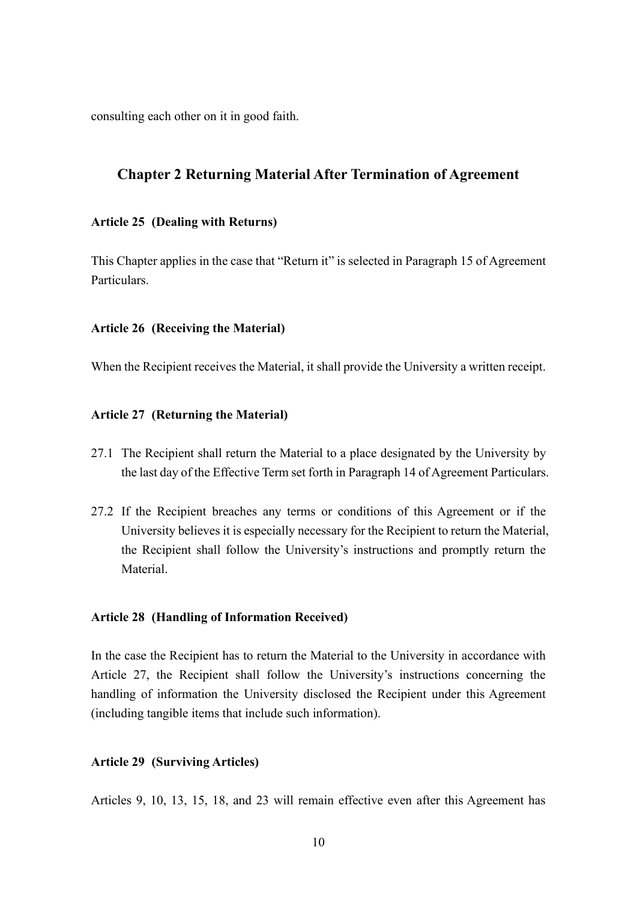consulting each other on it in good faith.

## **Chapter 2 Returning Material After Termination of Agreement**

### **Article 25 (Dealing with Returns)**

This Chapter applies in the case that "Return it" is selected in Paragraph 15 of Agreement Particulars.

#### **Article 26 (Receiving the Material)**

When the Recipient receives the Material, it shall provide the University a written receipt.

### **Article 27 (Returning the Material)**

- 27.1 The Recipient shall return the Material to a place designated by the University by the last day of the Effective Term set forth in Paragraph 14 of Agreement Particulars.
- 27.2 If the Recipient breaches any terms or conditions of this Agreement or if the University believes it is especially necessary for the Recipient to return the Material, the Recipient shall follow the University's instructions and promptly return the Material.

#### **Article 28 (Handling of Information Received)**

In the case the Recipient has to return the Material to the University in accordance with Article 27, the Recipient shall follow the University's instructions concerning the handling of information the University disclosed the Recipient under this Agreement (including tangible items that include such information).

#### **Article 29 (Surviving Articles)**

Articles 9, 10, 13, 15, 18, and 23 will remain effective even after this Agreement has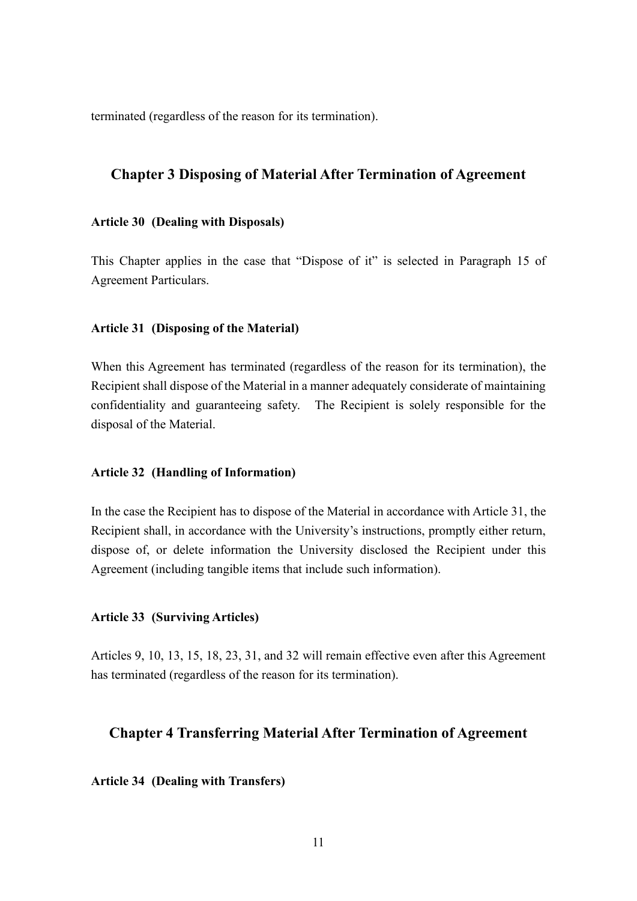terminated (regardless of the reason for its termination).

## **Chapter 3 Disposing of Material After Termination of Agreement**

#### **Article 30 (Dealing with Disposals)**

This Chapter applies in the case that "Dispose of it" is selected in Paragraph 15 of Agreement Particulars.

#### **Article 31 (Disposing of the Material)**

When this Agreement has terminated (regardless of the reason for its termination), the Recipient shall dispose of the Material in a manner adequately considerate of maintaining confidentiality and guaranteeing safety. The Recipient is solely responsible for the disposal of the Material.

#### **Article 32 (Handling of Information)**

In the case the Recipient has to dispose of the Material in accordance with Article 31, the Recipient shall, in accordance with the University's instructions, promptly either return, dispose of, or delete information the University disclosed the Recipient under this Agreement (including tangible items that include such information).

#### **Article 33 (Surviving Articles)**

Articles 9, 10, 13, 15, 18, 23, 31, and 32 will remain effective even after this Agreement has terminated (regardless of the reason for its termination).

## **Chapter 4 Transferring Material After Termination of Agreement**

**Article 34 (Dealing with Transfers)**